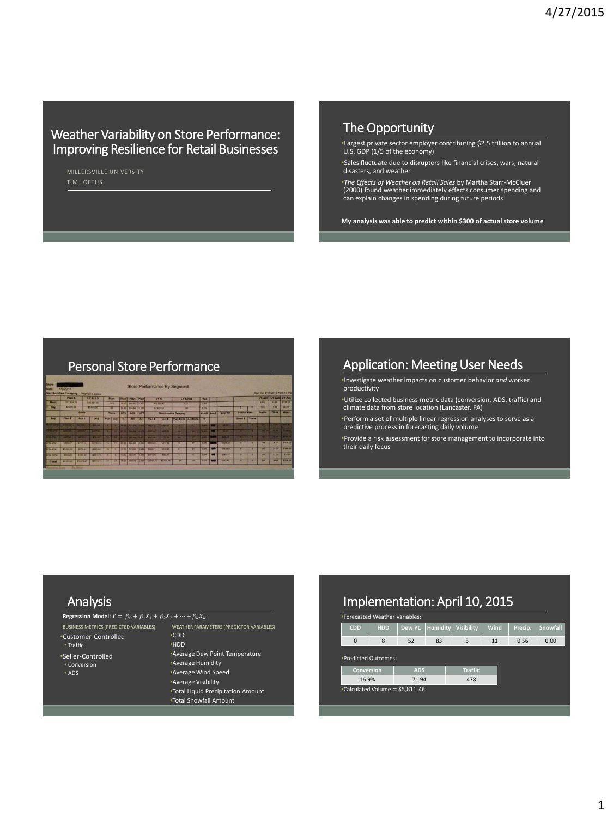## Weather Variability on Store Performance: Improving Resilience for Retail Businesses

MILLERSVILLE UNIVERSITY

## The Opportunity

•Largest private sector employer contributing \$2.5 trillion to annual U.S. GDP (1/5 of the economy)

•Sales fluctuate due to disruptors like financial crises, wars, natural disasters, and weather

•*The Effects of Weather on Retail Sales* by Martha Starr-McCluer (2000) found weather immediately effects consumer spending and can explain changes in spending during future periods

**My analysis was able to predict within \$300 of actual store volume**

|                   |                                           |                | Merchandise Category: Women's Sales |   |            |   |                         |            |                                                |                |                             |                         |                |            |                     |               |         | Run On 4/16/2014 7:27:13 PM |                          |                       |
|-------------------|-------------------------------------------|----------------|-------------------------------------|---|------------|---|-------------------------|------------|------------------------------------------------|----------------|-----------------------------|-------------------------|----------------|------------|---------------------|---------------|---------|-----------------------------|--------------------------|-----------------------|
|                   | <b>Grass</b><br><b>STERN N</b>            |                | <b>LYANTS</b>                       |   | Plan       |   | Plan Plan Plan          |            |                                                | <b>IVT</b>     | LY Units                    |                         | Plan           |            |                     |               |         |                             | LY Act   LY Act   LY Act |                       |
| ويستبطأ           |                                           |                | <b>CONTENT</b>                      |   | <b>ASP</b> |   | <b>NUMBER OF STREET</b> |            |                                                | U10347         | <b>CEGE</b>                 |                         | <b>SERVICE</b> |            |                     |               |         | <b>PERSON</b>               | <b>STATISTICS</b>        | <b>STREET</b>         |
| 1.77              | <b>LOGIST</b>                             |                | <b>TEREST</b>                       |   | π          |   | <b>WHITE BAKE TESTS</b> |            |                                                | 17277.22       |                             |                         | 725            |            |                     |               |         | ≖                           | 711                      | <b>BITAGE</b>         |
|                   | <b>Color</b>                              |                |                                     |   | Trams      |   | CNV ADS UPT             |            | <b>Marchandisa Category</b>                    |                |                             | Credit Lead             |                | Opp Vol    | <b>Stratch Plan</b> |               | Traffic | <b>TEXT</b>                 | <b>BETWEEN</b>           |                       |
| $\overline{1}$    | <b>Plan E</b>                             | <b>Act S</b>   | $-1$                                |   | Plan   Act | ≂ | Ass.                    | <b>EST</b> | Plan S                                         | Act 5          | <b>Plan Units Act Units</b> |                         | œ              |            |                     | Sales & Trans |         |                             |                          |                       |
|                   | the provider in the con-                  | <b>BERTHER</b> | <b>CONTINUE</b>                     |   |            |   | <b>State of Experts</b> |            | <b>TENNIS</b>                                  | <b>BETWEEN</b> | n                           | œ                       | <b>TIME</b>    |            | <b>CONTENT</b>      |               | n       | <b>CONTRACTOR</b>           | <b>STERN</b>             | ਰਵਾ                   |
|                   | <b>CONSTRUCTS IN STREET AND RESIDENTS</b> |                | <b>HETCHTING</b>                    |   |            |   |                         |            | and contract plan land person                  | <b>BUTCHER</b> | <b>COL</b>                  | m                       | та             | <b>THE</b> | <b>STOR</b>         | m             | m       | m                           | cm                       | and the second state. |
| <b>CONTRACT</b>   | <b>ALCOHOL: 12 YOU AND</b>                |                | <b>INCENT</b>                       |   |            |   |                         |            | <b>15. In the first seat Little and A</b>      | <b>STREET</b>  | m                           | a ta                    | ÷              |            | an territo          | m             | n       | m                           | <b>NEW LINES</b>         |                       |
| <b>ATM SPM</b>    | SHIP AT                                   | <b>ATTENA</b>  | <b>GIVE EN</b>                      | ÷ | ÷          |   |                         |            | TIME BARS INCH MIDE                            | <b>M17.88</b>  | ÷                           | $\overline{17}$         | <b>RON</b>     |            | 19830               | ٠             | n       | ≖                           | 8.57                     | <b>TIPS ST</b>        |
| <b>STARTING</b>   | \$1,000.32                                | 1479.00        | 19420-001                           | − | ÷          |   |                         |            | <b>SEED BPLIN [3,222] BONA 31</b>              | <b>STACKS</b>  | 34                          | $\overline{\mathbf{z}}$ | 115            |            | <b>START</b>        |               | п       | m                           | 21.28                    | <b>TEMPER</b>         |
| <b>START 1999</b> | <b>WATER</b>                              | \$151.68       | (\$303,745)                         | ۰ | ٠          |   |                         |            | 15.33 \$25.31 1.500 \$331.00                   | MIJM           | 12                          | ٠                       | 104            |            | <b>THEFT</b>        |               | Ŧ       | ÷                           | <b>REAL</b>              | <b>TITATE</b>         |
| T                 | BARRAGE BLAZER                            |                | <b>CONTROL</b>                      | − | m          |   |                         |            | <b>INCOLE BAN 12 EE ANDE GESULOO   ALCOHOL</b> |                | ٠                           | <b>TEST</b>             | 275            |            | <b>PH1.63</b>       |               | ٠       | -                           | 140                      | <b>TESTA AND</b>      |

## Personal Store Performance Application: Meeting User Needs

•Investigate weather impacts on customer behavior *and* worker productivity

•Utilize collected business metric data (conversion, ADS, traffic) and climate data from store location (Lancaster, PA)

•Perform a set of multiple linear regression analyses to serve as a predictive process in forecasting daily volume

•Provide a risk assessment for store management to incorporate into their daily focus

### Analysis

• Traffic

• ADS

#### **Regression Model:**  $Y = \beta_0 + \beta_1 X_1 + \beta_2 X_2 + \cdots + \beta_k X_k$

BUSINESS METRICS (PREDICTED VARIABLES) WEATHER PARAMETERS (PREDICTOR VARIABLES) •CDD •Customer-Controlled •Seller-Controlled • Conversion •HDD •Average Dew Point Temperature •Average Humidity •Average Wind Speed •Average Visibility •Total Liquid Precipitation Amount •Total Snowfall Amount

# Implementation: April 10, 2015

| *Forecasted Weather Variables:   |            |            |                 |                |      |         |          |  |
|----------------------------------|------------|------------|-----------------|----------------|------|---------|----------|--|
| <b>CDD</b>                       | <b>HDD</b> | Dew Pt.    | <b>Humidity</b> | Visibility     | Wind | Precip. | Snowfall |  |
| $\mathbf 0$                      | 8          | 52         | 83              | 5              | 11   | 0.56    | 0.00     |  |
| *Predicted Outcomes:             |            |            |                 |                |      |         |          |  |
| <b>Conversion</b>                |            | <b>ADS</b> |                 | <b>Traffic</b> |      |         |          |  |
| 16.9%                            |            | 71.94      |                 | 478            |      |         |          |  |
| •Calculated Volume = $$5,811.46$ |            |            |                 |                |      |         |          |  |